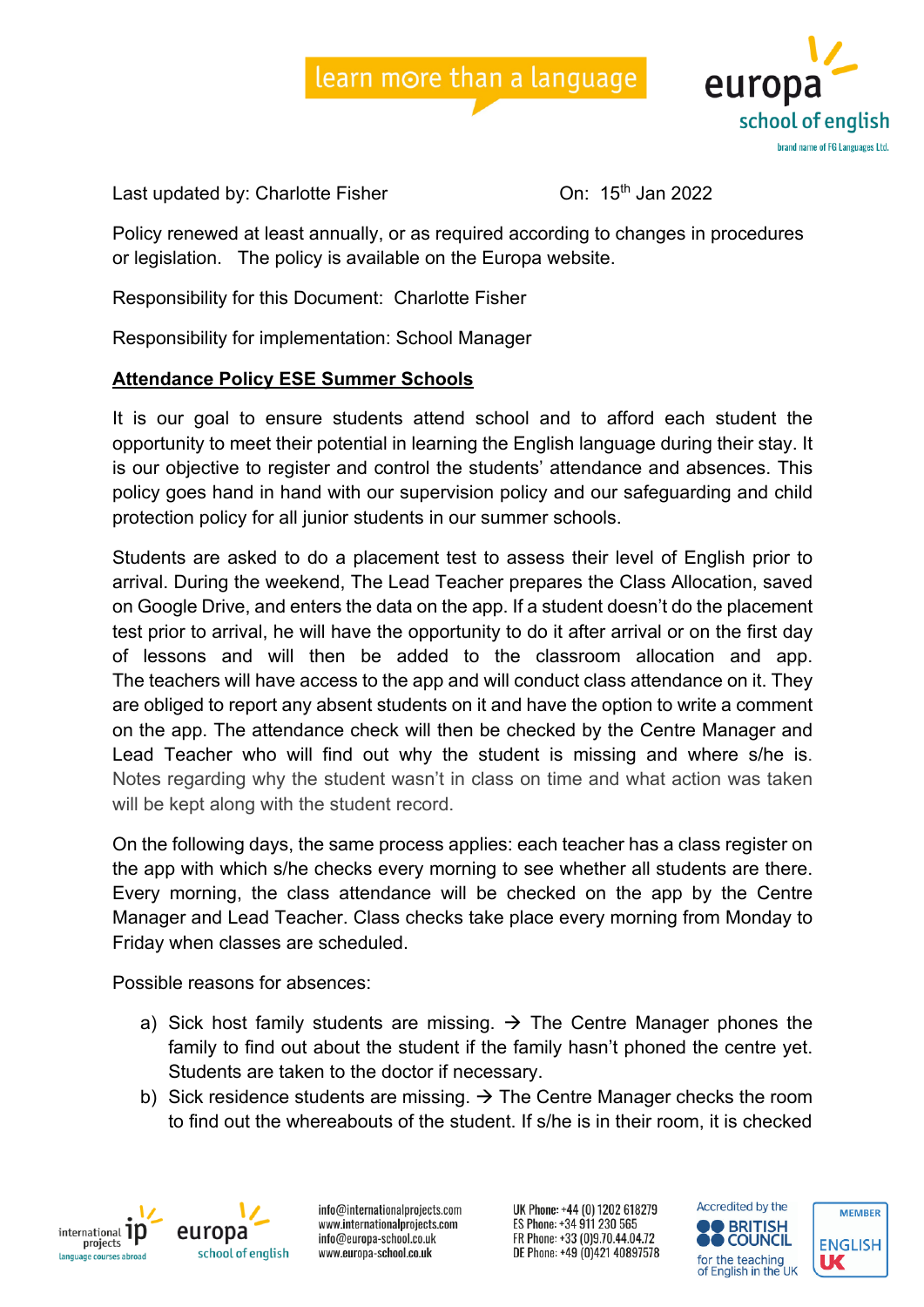



Last updated by: Charlotte Fisher Charlotte Fisher Charlotte 15th Jan 2022

Policy renewed at least annually, or as required according to changes in procedures or legislation. The policy is available on the Europa website.

Responsibility for this Document: Charlotte Fisher

Responsibility for implementation: School Manager

## **Attendance Policy ESE Summer Schools**

It is our goal to ensure students attend school and to afford each student the opportunity to meet their potential in learning the English language during their stay. It is our objective to register and control the students' attendance and absences. This policy goes hand in hand with our supervision policy and our safeguarding and child protection policy for all junior students in our summer schools.

Students are asked to do a placement test to assess their level of English prior to arrival. During the weekend, The Lead Teacher prepares the Class Allocation, saved on Google Drive, and enters the data on the app. If a student doesn't do the placement test prior to arrival, he will have the opportunity to do it after arrival or on the first day of lessons and will then be added to the classroom allocation and app. The teachers will have access to the app and will conduct class attendance on it. They are obliged to report any absent students on it and have the option to write a comment on the app. The attendance check will then be checked by the Centre Manager and Lead Teacher who will find out why the student is missing and where s/he is. Notes regarding why the student wasn't in class on time and what action was taken will be kept along with the student record.

On the following days, the same process applies: each teacher has a class register on the app with which s/he checks every morning to see whether all students are there. Every morning, the class attendance will be checked on the app by the Centre Manager and Lead Teacher. Class checks take place every morning from Monday to Friday when classes are scheduled.

Possible reasons for absences:

- a) Sick host family students are missing.  $\rightarrow$  The Centre Manager phones the family to find out about the student if the family hasn't phoned the centre yet. Students are taken to the doctor if necessary.
- b) Sick residence students are missing.  $\rightarrow$  The Centre Manager checks the room to find out the whereabouts of the student. If s/he is in their room, it is checked



europa school of english

info@internationalprojects.com www.internationalprojects.com info@europa-school.co.uk www.europa-school.co.uk

UK Phone: +44 (0) 1202 618279 ES Phone: +34 911 230 565 FR Phone: +33 (0)9.70.44.04.72 DE Phone: +49 (0)421 40897578



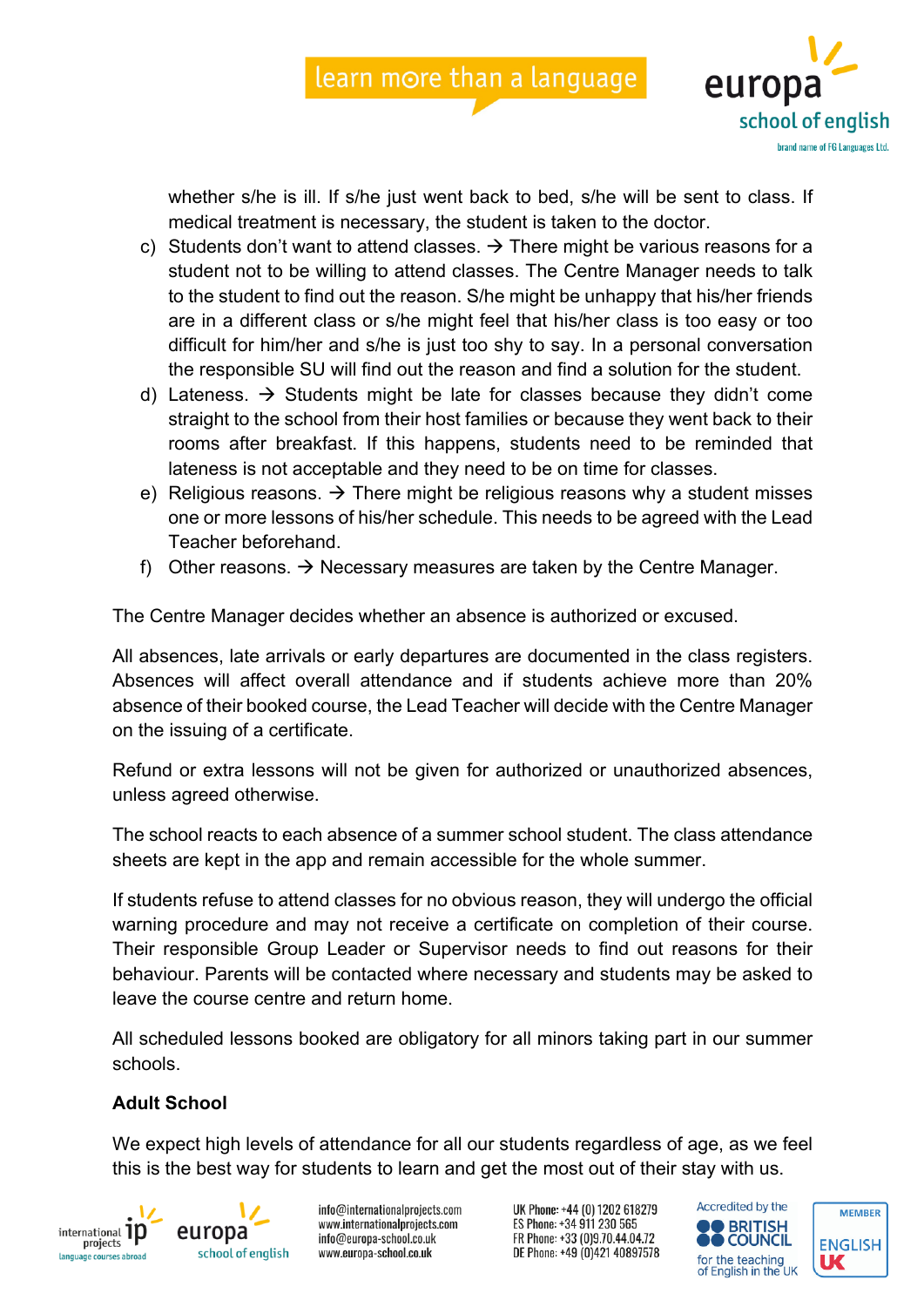



whether s/he is ill. If s/he just went back to bed, s/he will be sent to class. If medical treatment is necessary, the student is taken to the doctor.

- c) Students don't want to attend classes.  $\rightarrow$  There might be various reasons for a student not to be willing to attend classes. The Centre Manager needs to talk to the student to find out the reason. S/he might be unhappy that his/her friends are in a different class or s/he might feel that his/her class is too easy or too difficult for him/her and s/he is just too shy to say. In a personal conversation the responsible SU will find out the reason and find a solution for the student.
- d) Lateness.  $\rightarrow$  Students might be late for classes because they didn't come straight to the school from their host families or because they went back to their rooms after breakfast. If this happens, students need to be reminded that lateness is not acceptable and they need to be on time for classes.
- e) Religious reasons.  $\rightarrow$  There might be religious reasons why a student misses one or more lessons of his/her schedule. This needs to be agreed with the Lead Teacher beforehand.
- f) Other reasons.  $\rightarrow$  Necessary measures are taken by the Centre Manager.

The Centre Manager decides whether an absence is authorized or excused.

All absences, late arrivals or early departures are documented in the class registers. Absences will affect overall attendance and if students achieve more than 20% absence of their booked course, the Lead Teacher will decide with the Centre Manager on the issuing of a certificate.

Refund or extra lessons will not be given for authorized or unauthorized absences, unless agreed otherwise.

The school reacts to each absence of a summer school student. The class attendance sheets are kept in the app and remain accessible for the whole summer.

If students refuse to attend classes for no obvious reason, they will undergo the official warning procedure and may not receive a certificate on completion of their course. Their responsible Group Leader or Supervisor needs to find out reasons for their behaviour. Parents will be contacted where necessary and students may be asked to leave the course centre and return home.

All scheduled lessons booked are obligatory for all minors taking part in our summer schools.

## **Adult School**

We expect high levels of attendance for all our students regardless of age, as we feel this is the best way for students to learn and get the most out of their stay with us.





info@internationalprojects.com www.internationalprojects.com info@europa-school.co.uk www.europa-school.co.uk

UK Phone: +44 (0) 1202 618279 ES Phone: +34 911 230 565 FR Phone: +33 (0)9.70.44.04.72 DE Phone: +49 (0)421 40897578



**MEMBER**